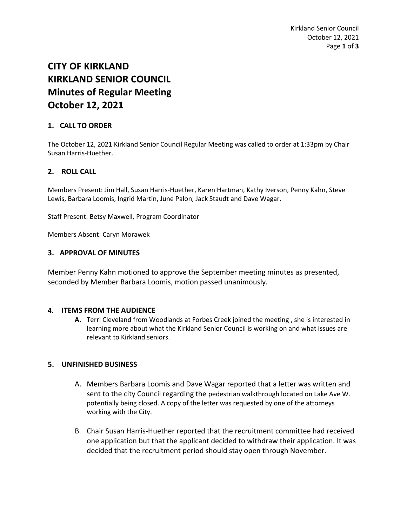# **CITY OF KIRKLAND KIRKLAND SENIOR COUNCIL Minutes of Regular Meeting October 12, 2021**

# **1. CALL TO ORDER**

The October 12, 2021 Kirkland Senior Council Regular Meeting was called to order at 1:33pm by Chair Susan Harris-Huether.

# **2. ROLL CALL**

Members Present: Jim Hall, Susan Harris-Huether, Karen Hartman, Kathy Iverson, Penny Kahn, Steve Lewis, Barbara Loomis, Ingrid Martin, June Palon, Jack Staudt and Dave Wagar.

Staff Present: Betsy Maxwell, Program Coordinator

Members Absent: Caryn Morawek

#### **3. APPROVAL OF MINUTES**

Member Penny Kahn motioned to approve the September meeting minutes as presented, seconded by Member Barbara Loomis, motion passed unanimously.

## **4. ITEMS FROM THE AUDIENCE**

**A.** Terri Cleveland from Woodlands at Forbes Creek joined the meeting , she is interested in learning more about what the Kirkland Senior Council is working on and what issues are relevant to Kirkland seniors.

#### **5. UNFINISHED BUSINESS**

- A. Members Barbara Loomis and Dave Wagar reported that a letter was written and sent to the city Council regarding the pedestrian walkthrough located on Lake Ave W. potentially being closed. A copy of the letter was requested by one of the attorneys working with the City.
- B. Chair Susan Harris-Huether reported that the recruitment committee had received one application but that the applicant decided to withdraw their application. It was decided that the recruitment period should stay open through November.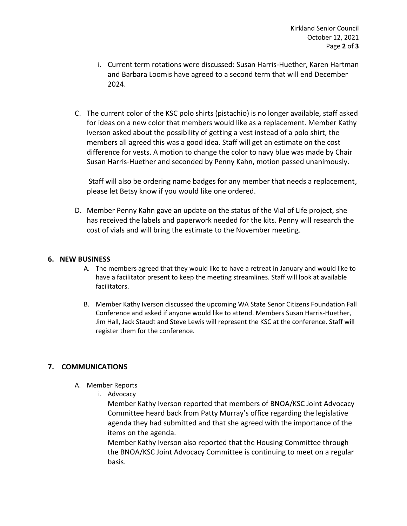- i. Current term rotations were discussed: Susan Harris-Huether, Karen Hartman and Barbara Loomis have agreed to a second term that will end December 2024.
- C. The current color of the KSC polo shirts (pistachio) is no longer available, staff asked for ideas on a new color that members would like as a replacement. Member Kathy Iverson asked about the possibility of getting a vest instead of a polo shirt, the members all agreed this was a good idea. Staff will get an estimate on the cost difference for vests. A motion to change the color to navy blue was made by Chair Susan Harris-Huether and seconded by Penny Kahn, motion passed unanimously.

Staff will also be ordering name badges for any member that needs a replacement, please let Betsy know if you would like one ordered.

D. Member Penny Kahn gave an update on the status of the Vial of Life project, she has received the labels and paperwork needed for the kits. Penny will research the cost of vials and will bring the estimate to the November meeting.

## **6. NEW BUSINESS**

- A. The members agreed that they would like to have a retreat in January and would like to have a facilitator present to keep the meeting streamlines. Staff will look at available facilitators.
- B. Member Kathy Iverson discussed the upcoming WA State Senor Citizens Foundation Fall Conference and asked if anyone would like to attend. Members Susan Harris-Huether, Jim Hall, Jack Staudt and Steve Lewis will represent the KSC at the conference. Staff will register them for the conference.

## **7. COMMUNICATIONS**

- A. Member Reports
	- i. Advocacy

Member Kathy Iverson reported that members of BNOA/KSC Joint Advocacy Committee heard back from Patty Murray's office regarding the legislative agenda they had submitted and that she agreed with the importance of the items on the agenda.

Member Kathy Iverson also reported that the Housing Committee through the BNOA/KSC Joint Advocacy Committee is continuing to meet on a regular basis.